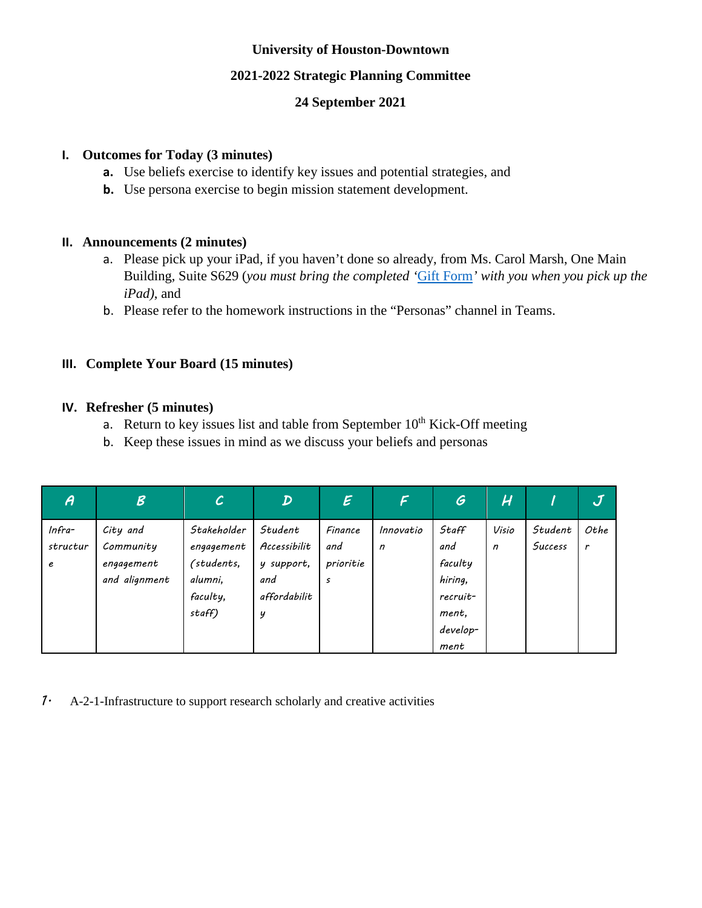## **University of Houston-Downtown**

### **2021-2022 Strategic Planning Committee**

## **24 September 2021**

### **I. Outcomes for Today (3 minutes)**

- **a.** Use beliefs exercise to identify key issues and potential strategies, and
- **b.** Use persona exercise to begin mission statement development.

## **II. Announcements (2 minutes)**

- a. Please pick up your iPad, if you haven't done so already, from Ms. Carol Marsh, One Main Building, Suite S629 (*you must bring the completed '*[Gift Form](https://uh.edu/office-of-finance/tax-information/taxable-fringe-benefits/exhibit-b.pdf)*' with you when you pick up the iPad)*, and
- b. Please refer to the homework instructions in the "Personas" channel in Teams.

# **III. Complete Your Board (15 minutes)**

#### **IV. Refresher (5 minutes)**

- a. Return to key issues list and table from September  $10<sup>th</sup>$  Kick-Off meeting
- b. Keep these issues in mind as we discuss your beliefs and personas

| A                         | $\mathcal{B}$                                        | $\mathcal C$                                                             | $\boldsymbol{\mathcal{D}}$                                        | $\mathcal{E}$                    | F                         | $\mathcal G$                                                                | H                     |                    | $\bm{J}$  |
|---------------------------|------------------------------------------------------|--------------------------------------------------------------------------|-------------------------------------------------------------------|----------------------------------|---------------------------|-----------------------------------------------------------------------------|-----------------------|--------------------|-----------|
| $Infra-$<br>structur<br>е | City and<br>Community<br>engagement<br>and alignment | Stakeholder<br>engagement<br>(students,<br>alumni,<br>faculty,<br>staff) | Student<br>Accessibilit<br>y support,<br>and<br>affordabilit<br>y | Finance<br>and<br>prioritie<br>s | Innovatio<br>$\mathsf{n}$ | Staff<br>and<br>faculty<br>hiring,<br>recruit-<br>ment,<br>develop-<br>ment | Visio<br>$\mathsf{n}$ | Student<br>Success | Othe<br>r |

*1.* A-2-1-Infrastructure to support research scholarly and creative activities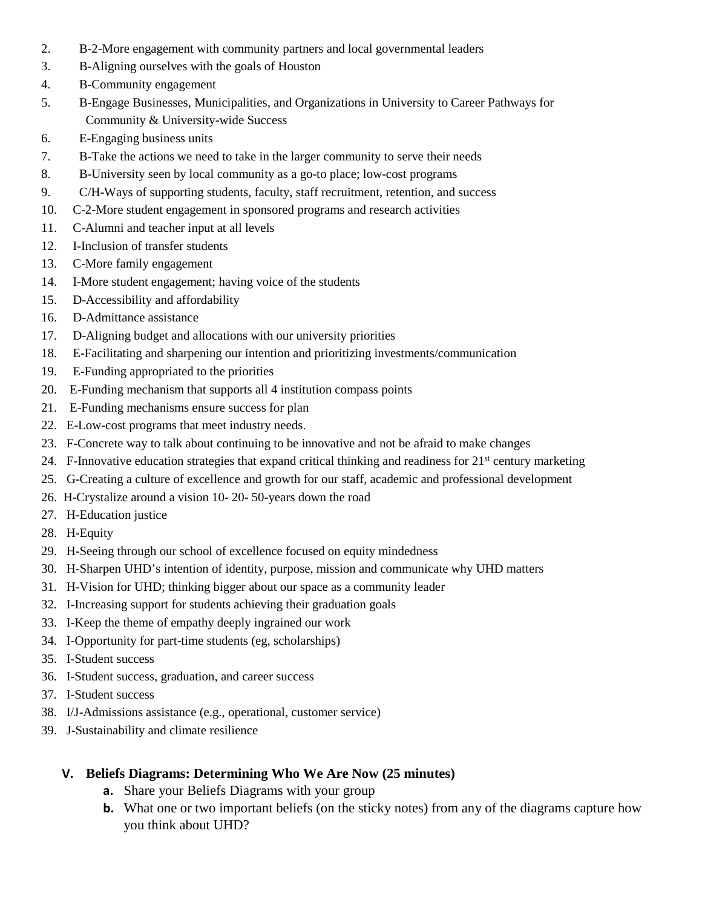- 2. B-2-More engagement with community partners and local governmental leaders
- 3. B-Aligning ourselves with the goals of Houston
- 4. B-Community engagement
- 5. B-Engage Businesses, Municipalities, and Organizations in University to Career Pathways for Community & University-wide Success
- 6. E-Engaging business units
- 7. B-Take the actions we need to take in the larger community to serve their needs
- 8. B-University seen by local community as a go-to place; low-cost programs
- 9. C/H-Ways of supporting students, faculty, staff recruitment, retention, and success
- 10. C-2-More student engagement in sponsored programs and research activities
- 11. C-Alumni and teacher input at all levels
- 12. I-Inclusion of transfer students
- 13. C-More family engagement
- 14. I-More student engagement; having voice of the students
- 15. D-Accessibility and affordability
- 16. D-Admittance assistance
- 17. D-Aligning budget and allocations with our university priorities
- 18. E-Facilitating and sharpening our intention and prioritizing investments/communication
- 19. E-Funding appropriated to the priorities
- 20. E-Funding mechanism that supports all 4 institution compass points
- 21. E-Funding mechanisms ensure success for plan
- 22. E-Low-cost programs that meet industry needs.
- 23. F-Concrete way to talk about continuing to be innovative and not be afraid to make changes
- 24. F-Innovative education strategies that expand critical thinking and readiness for  $21<sup>st</sup>$  century marketing
- 25. G-Creating a culture of excellence and growth for our staff, academic and professional development
- 26. H-Crystalize around a vision 10- 20- 50-years down the road
- 27. H-Education justice
- 28. H-Equity
- 29. H-Seeing through our school of excellence focused on equity mindedness
- 30. H-Sharpen UHD's intention of identity, purpose, mission and communicate why UHD matters
- 31. H-Vision for UHD; thinking bigger about our space as a community leader
- 32. I-Increasing support for students achieving their graduation goals
- 33. I-Keep the theme of empathy deeply ingrained our work
- 34. I-Opportunity for part-time students (eg, scholarships)
- 35. I-Student success
- 36. I-Student success, graduation, and career success
- 37. I-Student success
- 38. I/J-Admissions assistance (e.g., operational, customer service)
- 39. J-Sustainability and climate resilience

#### **V. Beliefs Diagrams: Determining Who We Are Now (25 minutes)**

- **a.** Share your Beliefs Diagrams with your group
- **b.** What one or two important beliefs (on the sticky notes) from any of the diagrams capture how you think about UHD?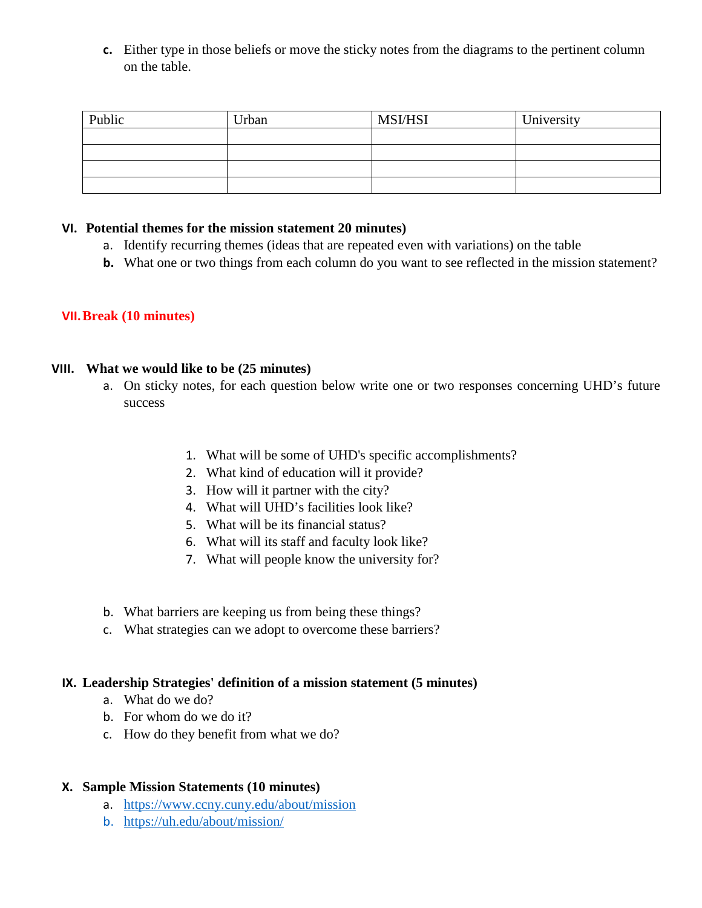**c.** Either type in those beliefs or move the sticky notes from the diagrams to the pertinent column on the table.

| Public | Urban | <b>MSI/HSI</b> | University |
|--------|-------|----------------|------------|
|        |       |                |            |
|        |       |                |            |
|        |       |                |            |
|        |       |                |            |

#### **VI. Potential themes for the mission statement 20 minutes)**

- a. Identify recurring themes (ideas that are repeated even with variations) on the table
- **b.** What one or two things from each column do you want to see reflected in the mission statement?

#### **VII.Break (10 minutes)**

#### **VIII. What we would like to be (25 minutes)**

- a. On sticky notes, for each question below write one or two responses concerning UHD's future success
	- 1. What will be some of UHD's specific accomplishments?
	- 2. What kind of education will it provide?
	- 3. How will it partner with the city?
	- 4. What will UHD's facilities look like?
	- 5. What will be its financial status?
	- 6. What will its staff and faculty look like?
	- 7. What will people know the university for?
- b. What barriers are keeping us from being these things?
- c. What strategies can we adopt to overcome these barriers?

#### **IX. Leadership Strategies' definition of a mission statement (5 minutes)**

- a. What do we do?
- b. For whom do we do it?
- c. How do they benefit from what we do?

#### **X. Sample Mission Statements (10 minutes)**

- a. <https://www.ccny.cuny.edu/about/mission>
- b. <https://uh.edu/about/mission/>